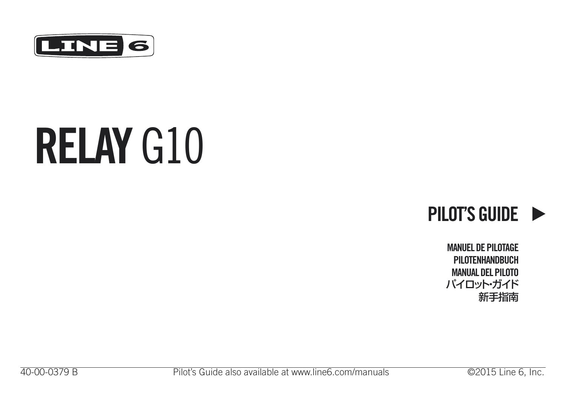

# **RELAY** G10



**MANUEL DE PILOTAGE PILOTENHANDBUCH MANUAL DEL PILOTO** パイロット・ガイド 新手指南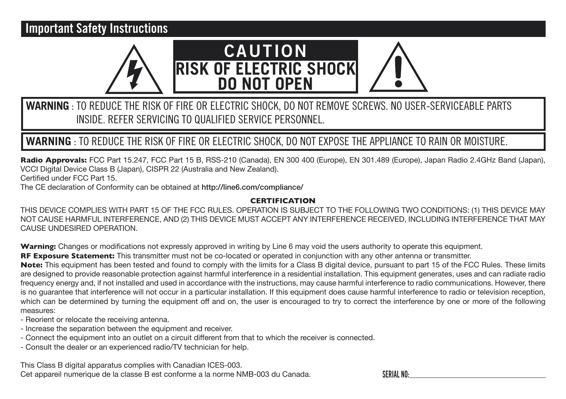#### **Important Safety Instructions**



#### **WARNING** : TO REDUCE THE RISK OF FIRE OR ELECTRIC SHOCK, DO NOT REMOVE SCREWS. NO USER-SERVICEABLE PARTS INSIDE. REFER SERVICING TO QUALIFIED SERVICE PERSONNEL.

#### **WARNING** : TO REDUCE THE RISK OF FIRE OR ELECTRIC SHOCK, DO NOT EXPOSE THE APPLIANCE TO RAIN OR MOISTURE.

**Radio Approvals:** FCC Part 15.247, FCC Part 15 B, RSS-210 (Canada), EN 300 400 (Europe), EN 301.489 (Europe), Japan Radio 2.4GHz Band (Japan), VCCI Digital Device Class B (Japan), CISPR 22 (Australia and New Zealand). Certified under FCC Part 15.

The CE declaration of Conformity can be obtained at http://line6.com/compliance/

#### **CERTIFICATION**

THIS DEVICE COMPLIES WITH PART 15 OF THE FCC RULES. OPERATION IS SUBJECT TO THE FOLLOWING TWO CONDITIONS: (1) THIS DEVICE MAY NOT CAUSE HARMFUL INTERFERENCE, AND (2) THIS DEVICE MUST ACCEPT ANY INTERFERENCE RECEIVED, INCLUDING INTERFERENCE THAT MAY CAUSE UNDESIRED OPERATION.

**Warning:** Changes or modifications not expressly approved in writing by Line 6 may void the users authority to operate this equipment. **RF Exposure Statement:** This transmitter must not be co-located or operated in conjunction with any other antenna or transmitter.

**Note:** This equipment has been tested and found to comply with the limits for a Class B digital device, pursuant to part 15 of the FCC Rules. These limits are designed to provide reasonable protection against harmful interference in a residential installation. This equipment generates, uses and can radiate radio frequency energy and, if not installed and used in accordance with the instructions, may cause harmful interference to radio communications. However, there is no guarantee that interference will not occur in a particular installation. If this equipment does cause harmful interference to radio or television reception, which can be determined by turning the equipment off and on, the user is encouraged to try to correct the interference by one or more of the following measures:

- Reorient or relocate the receiving antenna.
- Increase the separation between the equipment and receiver.
- Connect the equipment into an outlet on a circuit different from that to which the receiver is connected.
- Consult the dealer or an experienced radio/TV technician for help.

This Class B digital apparatus complies with Canadian ICES-003. Cet appareil numerique de la classe B est conforme a la norme NMB-003 du Canada.

**SERIAL NO:**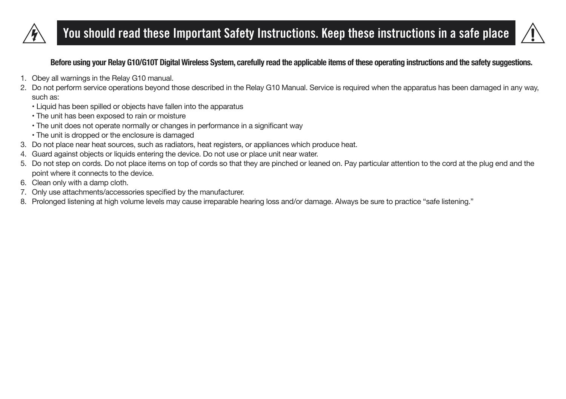

# **You should read these Important Safety Instructions. Keep these instructions in a safe place**



#### **Before using your Relay G10/G10T Digital Wireless System, carefully read the applicable items of these operating instructions and the safety suggestions.**

- 1. Obey all warnings in the Relay G10 manual.
- 2. Do not perform service operations beyond those described in the Relay G10 Manual. Service is required when the apparatus has been damaged in any way, such as:
	- Liquid has been spilled or objects have fallen into the apparatus
	- The unit has been exposed to rain or moisture
	- The unit does not operate normally or changes in performance in a significant way
	- The unit is dropped or the enclosure is damaged
- 3. Do not place near heat sources, such as radiators, heat registers, or appliances which produce heat.
- 4. Guard against objects or liquids entering the device. Do not use or place unit near water.
- 5. Do not step on cords. Do not place items on top of cords so that they are pinched or leaned on. Pay particular attention to the cord at the plug end and the point where it connects to the device.
- 6. Clean only with a damp cloth.
- 7. Only use attachments/accessories specified by the manufacturer.
- 8. Prolonged listening at high volume levels may cause irreparable hearing loss and/or damage. Always be sure to practice "safe listening."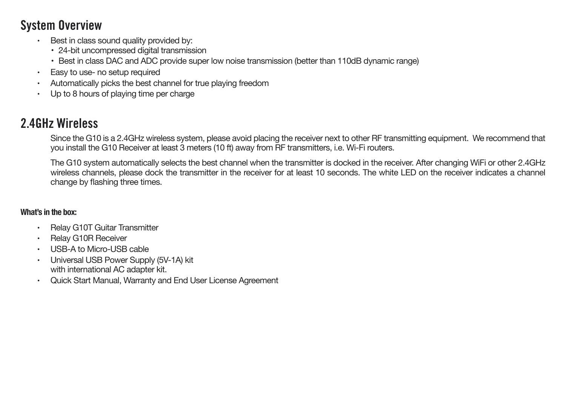## **System Overview**

- Best in class sound quality provided by:
	- 24-bit uncompressed digital transmission
	- Best in class DAC and ADC provide super low noise transmission (better than 110dB dynamic range)
- Easy to use- no setup required
- Automatically picks the best channel for true playing freedom
- Up to 8 hours of playing time per charge

## **2.4GHz Wireless**

Since the G10 is a 2.4GHz wireless system, please avoid placing the receiver next to other RF transmitting equipment. We recommend that you install the G10 Receiver at least 3 meters (10 ft) away from RF transmitters, i.e. Wi-Fi routers.

The G10 system automatically selects the best channel when the transmitter is docked in the receiver. After changing WiFi or other 2.4GHz wireless channels, please dock the transmitter in the receiver for at least 10 seconds. The white LED on the receiver indicates a channel change by flashing three times.

#### **What's in the box:**

- Relay G10T Guitar Transmitter
- Relay G10R Receiver
- USB-A to Micro-USB cable
- Universal USB Power Supply (5V-1A) kit with international AC adapter kit.
- Quick Start Manual, Warranty and End User License Agreement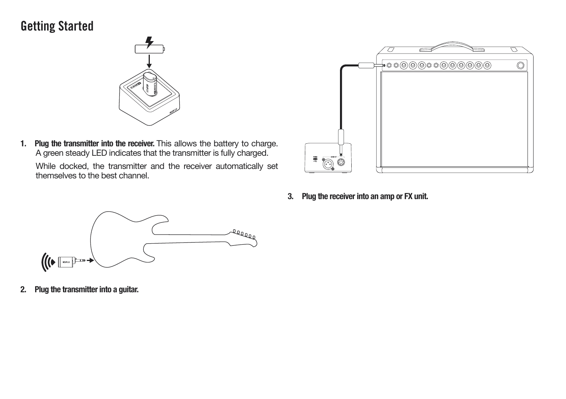## **Getting Started**



**1. Plug the transmitter into the receiver.** This allows the battery to charge. A green steady LED indicates that the transmitter is fully charged.

While docked, the transmitter and the receiver automatically set themselves to the best channel.



**3. Plug the receiver into an amp or FX unit.**



**2. Plug the transmitter into a guitar.**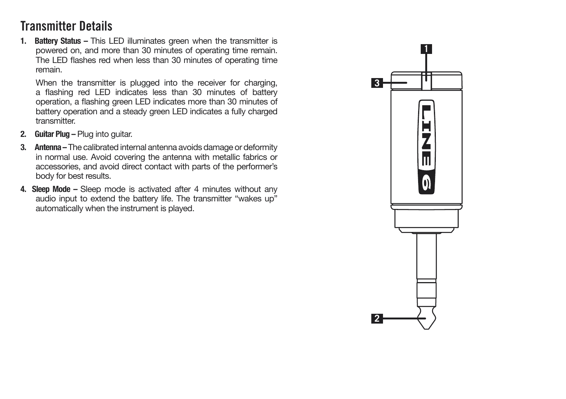## **Transmitter Details**

**1. Battery Status –** This LED illuminates green when the transmitter is powered on, and more than 30 minutes of operating time remain. The LED flashes red when less than 30 minutes of operating time remain.

When the transmitter is plugged into the receiver for charging, a flashing red LED indicates less than 30 minutes of battery operation, a flashing green LED indicates more than 30 minutes of battery operation and a steady green LED indicates a fully charged transmitter.

- **2. Guitar Plug** Plug into guitar.
- **3. Antenna –** The calibrated internal antenna avoids damage or deformity in normal use. Avoid covering the antenna with metallic fabrics or accessories, and avoid direct contact with parts of the performer's body for best results.
- **4. Sleep Mode** Sleep mode is activated after 4 minutes without any audio input to extend the battery life. The transmitter "wakes up" automatically when the instrument is played.

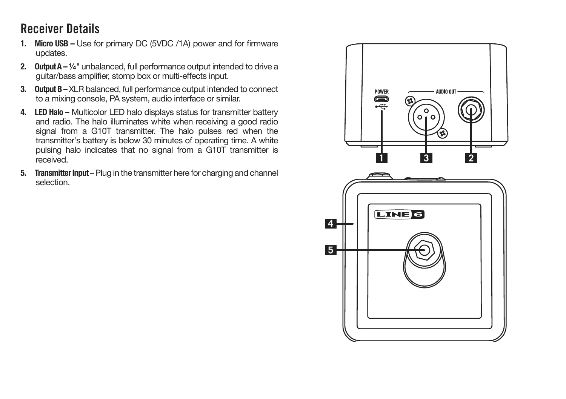## **Receiver Details**

- **1. Micro USB** Use for primary DC (5VDC /1A) power and for firmware updates.
- **2. Output A ¼**" unbalanced, full performance output intended to drive a guitar/bass amplifier, stomp box or multi-effects input.
- **3. Output B** XLR balanced, full performance output intended to connect to a mixing console, PA system, audio interface or similar.
- **4. LED Halo –** Multicolor LED halo displays status for transmitter battery and radio. The halo illuminates white when receiving a good radio signal from a G10T transmitter. The halo pulses red when the transmitter's battery is below 30 minutes of operating time. A white pulsing halo indicates that no signal from a G10T transmitter is received.
- **5. Transmitter Input** Plug in the transmitter here for charging and channel selection.